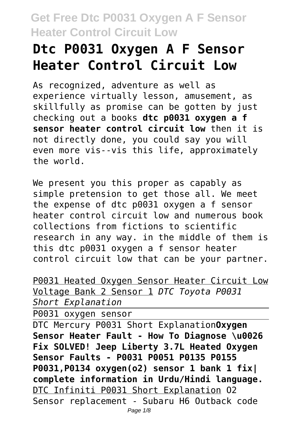# **Dtc P0031 Oxygen A F Sensor Heater Control Circuit Low**

As recognized, adventure as well as experience virtually lesson, amusement, as skillfully as promise can be gotten by just checking out a books **dtc p0031 oxygen a f sensor heater control circuit low** then it is not directly done, you could say you will even more vis--vis this life, approximately the world.

We present you this proper as capably as simple pretension to get those all. We meet the expense of dtc p0031 oxygen a f sensor heater control circuit low and numerous book collections from fictions to scientific research in any way. in the middle of them is this dtc p0031 oxygen a f sensor heater control circuit low that can be your partner.

P0031 Heated Oxygen Sensor Heater Circuit Low Voltage Bank 2 Sensor 1 *DTC Toyota P0031 Short Explanation*

P0031 oxygen sensor

DTC Mercury P0031 Short Explanation**Oxygen Sensor Heater Fault - How To Diagnose \u0026 Fix SOLVED! Jeep Liberty 3.7L Heated Oxygen Sensor Faults - P0031 P0051 P0135 P0155 P0031,P0134 oxygen(o2) sensor 1 bank 1 fix| complete information in Urdu/Hindi language.** DTC Infiniti P0031 Short Explanation O2 Sensor replacement - Subaru H6 Outback code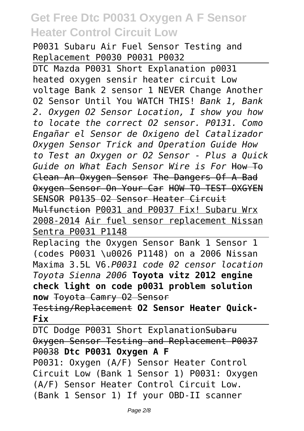P0031 Subaru Air Fuel Sensor Testing and Replacement P0030 P0031 P0032

DTC Mazda P0031 Short Explanation p0031 heated oxygen sensir heater circuit Low voltage Bank 2 sensor 1 NEVER Change Another O2 Sensor Until You WATCH THIS! *Bank 1, Bank 2. Oxygen O2 Sensor Location, I show you how to locate the correct O2 sensor. P0131. Como Engañar el Sensor de Oxigeno del Catalizador Oxygen Sensor Trick and Operation Guide How to Test an Oxygen or O2 Sensor - Plus a Quick Guide on What Each Sensor Wire is For* How To Clean An Oxygen Sensor The Dangers Of A Bad Oxygen Sensor On Your Car HOW TO TEST OXGYEN SENSOR P0135 O2 Sensor Heater Circuit Mulfunction P0031 and P0037 Fix! Subaru Wrx 2008-2014 Air fuel sensor replacement Nissan Sentra P0031 P1148

Replacing the Oxygen Sensor Bank 1 Sensor 1 (codes P0031 \u0026 P1148) on a 2006 Nissan Maxima 3.5L V6.*P0031 code 02 censor location Toyota Sienna 2006* **Toyota vitz 2012 engine check light on code p0031 problem solution now** Toyota Camry O2 Sensor

Testing/Replacement **O2 Sensor Heater Quick-Fix**

DTC Dodge P0031 Short ExplanationSubaru Oxygen Sensor Testing and Replacement P0037 P0038 **Dtc P0031 Oxygen A F** P0031: Oxygen (A/F) Sensor Heater Control Circuit Low (Bank 1 Sensor 1) P0031: Oxygen (A/F) Sensor Heater Control Circuit Low. (Bank 1 Sensor 1) If your OBD-II scanner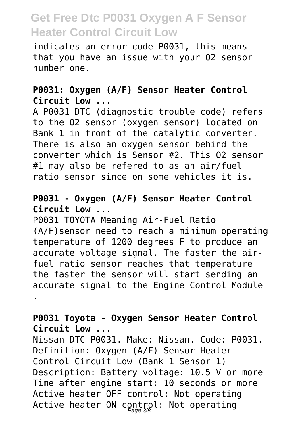indicates an error code P0031, this means that you have an issue with your O2 sensor number one.

#### **P0031: Oxygen (A/F) Sensor Heater Control Circuit Low ...**

A P0031 DTC (diagnostic trouble code) refers to the O2 sensor (oxygen sensor) located on Bank 1 in front of the catalytic converter. There is also an oxygen sensor behind the converter which is Sensor #2. This O2 sensor #1 may also be refered to as an air/fuel ratio sensor since on some vehicles it is.

#### **P0031 - Oxygen (A/F) Sensor Heater Control Circuit Low ...**

P0031 TOYOTA Meaning Air-Fuel Ratio (A/F)sensor need to reach a minimum operating temperature of 1200 degrees F to produce an accurate voltage signal. The faster the airfuel ratio sensor reaches that temperature the faster the sensor will start sending an accurate signal to the Engine Control Module .

#### **P0031 Toyota - Oxygen Sensor Heater Control Circuit Low ...**

Nissan DTC P0031. Make: Nissan. Code: P0031. Definition: Oxygen (A/F) Sensor Heater Control Circuit Low (Bank 1 Sensor 1) Description: Battery voltage: 10.5 V or more Time after engine start: 10 seconds or more Active heater OFF control: Not operating Active heater ON control: Not operating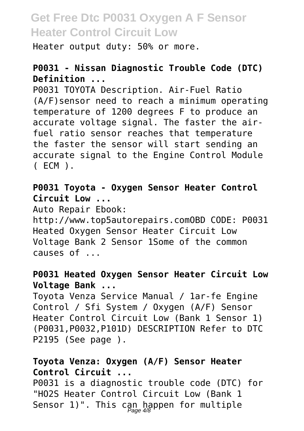Heater output duty: 50% or more.

#### **P0031 - Nissan Diagnostic Trouble Code (DTC) Definition ...**

P0031 TOYOTA Description. Air-Fuel Ratio (A/F)sensor need to reach a minimum operating temperature of 1200 degrees F to produce an accurate voltage signal. The faster the airfuel ratio sensor reaches that temperature the faster the sensor will start sending an accurate signal to the Engine Control Module ( ECM ).

**P0031 Toyota - Oxygen Sensor Heater Control Circuit Low ...**

Auto Repair Ebook:

http://www.top5autorepairs.comOBD CODE: P0031 Heated Oxygen Sensor Heater Circuit Low Voltage Bank 2 Sensor 1Some of the common causes of ...

#### **P0031 Heated Oxygen Sensor Heater Circuit Low Voltage Bank ...**

Toyota Venza Service Manual / 1ar-fe Engine Control / Sfi System / Oxygen (A/F) Sensor Heater Control Circuit Low (Bank 1 Sensor 1) (P0031,P0032,P101D) DESCRIPTION Refer to DTC P2195 (See page ).

#### **Toyota Venza: Oxygen (A/F) Sensor Heater Control Circuit ...**

P0031 is a diagnostic trouble code (DTC) for "HO2S Heater Control Circuit Low (Bank 1 Sensor 1)". This can happen for multiple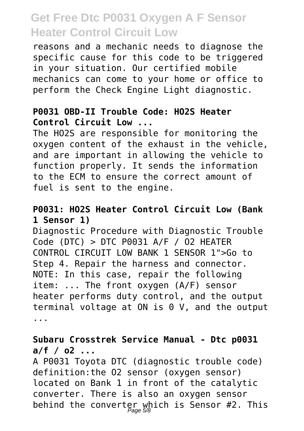reasons and a mechanic needs to diagnose the specific cause for this code to be triggered in your situation. Our certified mobile mechanics can come to your home or office to perform the Check Engine Light diagnostic.

#### **P0031 OBD-II Trouble Code: HO2S Heater Control Circuit Low ...**

The HO2S are responsible for monitoring the oxygen content of the exhaust in the vehicle, and are important in allowing the vehicle to function properly. It sends the information to the ECM to ensure the correct amount of fuel is sent to the engine.

#### **P0031: HO2S Heater Control Circuit Low (Bank 1 Sensor 1)**

Diagnostic Procedure with Diagnostic Trouble  $Code (DTC) > DTC P0031 A/F / 02 HEATER$ CONTROL CIRCUIT LOW BANK 1 SENSOR 1">Go to Step 4. Repair the harness and connector. NOTE: In this case, repair the following item: ... The front oxygen (A/F) sensor heater performs duty control, and the output terminal voltage at ON is 0 V, and the output ...

#### **Subaru Crosstrek Service Manual - Dtc p0031 a/f / o2 ...**

A P0031 Toyota DTC (diagnostic trouble code) definition:the O2 sensor (oxygen sensor) located on Bank 1 in front of the catalytic converter. There is also an oxygen sensor behind the converter which is Sensor #2. This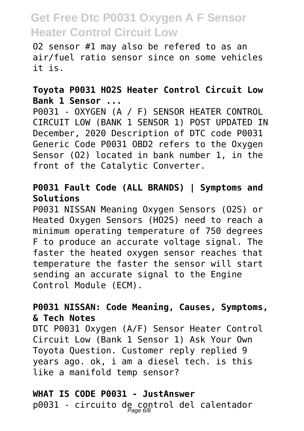O2 sensor #1 may also be refered to as an air/fuel ratio sensor since on some vehicles it is.

#### **Toyota P0031 HO2S Heater Control Circuit Low Bank 1 Sensor ...**

P0031 - OXYGEN (A / F) SENSOR HEATER CONTROL CIRCUIT LOW (BANK 1 SENSOR 1) POST UPDATED IN December, 2020 Description of DTC code P0031 Generic Code P0031 OBD2 refers to the Oxygen Sensor (O2) located in bank number 1, in the front of the Catalytic Converter.

#### **P0031 Fault Code (ALL BRANDS) | Symptoms and Solutions**

P0031 NISSAN Meaning Oxygen Sensors (O2S) or Heated Oxygen Sensors (HO2S) need to reach a minimum operating temperature of 750 degrees F to produce an accurate voltage signal. The faster the heated oxygen sensor reaches that temperature the faster the sensor will start sending an accurate signal to the Engine Control Module (ECM).

#### **P0031 NISSAN: Code Meaning, Causes, Symptoms, & Tech Notes**

DTC P0031 Oxygen (A/F) Sensor Heater Control Circuit Low (Bank 1 Sensor 1) Ask Your Own Toyota Question. Customer reply replied 9 years ago. ok, i am a diesel tech. is this like a manifold temp sensor?

### **WHAT IS CODE P0031 - JustAnswer** p0031 - circuito de control del calentador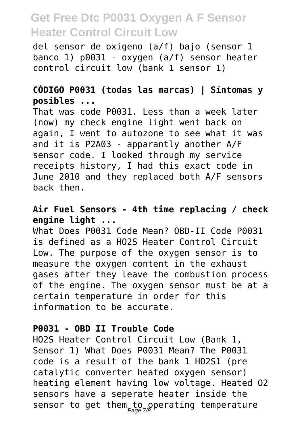del sensor de oxigeno (a/f) bajo (sensor 1 banco 1) p0031 - oxygen (a/f) sensor heater control circuit low (bank 1 sensor 1)

#### **CÓDIGO P0031 (todas las marcas) | Síntomas y posibles ...**

That was code P0031. Less than a week later (now) my check engine light went back on again, I went to autozone to see what it was and it is P2A03 - apparantly another A/F sensor code. I looked through my service receipts history, I had this exact code in June 2010 and they replaced both A/F sensors back then.

#### **Air Fuel Sensors - 4th time replacing / check engine light ...**

What Does P0031 Code Mean? OBD-II Code P0031 is defined as a HO2S Heater Control Circuit Low. The purpose of the oxygen sensor is to measure the oxygen content in the exhaust gases after they leave the combustion process of the engine. The oxygen sensor must be at a certain temperature in order for this information to be accurate.

#### **P0031 - OBD II Trouble Code**

HO2S Heater Control Circuit Low (Bank 1, Sensor 1) What Does P0031 Mean? The P0031 code is a result of the bank 1 HO2S1 (pre catalytic converter heated oxygen sensor) heating element having low voltage. Heated O2 sensors have a seperate heater inside the sensor to get them to operating temperature